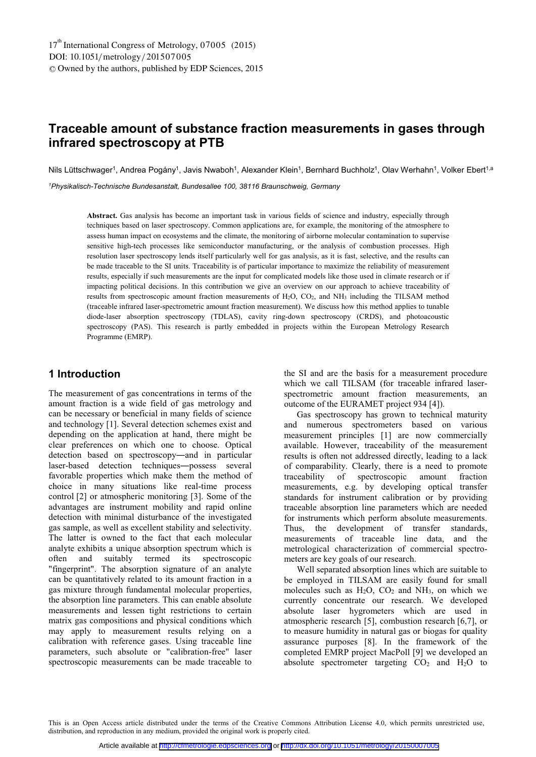# **Traceable amount of substance fraction measurements in gases through infrared spectroscopy at PTB**

Nils Lüttschwager<sup>1</sup>, Andrea Pogány<sup>1</sup>, Javis Nwaboh<sup>1</sup>, Alexander Klein<sup>1</sup>, Bernhard Buchholz<sup>1</sup>, Olav Werhahn<sup>1</sup>, Volker Ebert<sup>1,a</sup>

*1 Physikalisch-Technische Bundesanstalt, Bundesallee 100, 38116 Braunschweig, Germany* 

**Abstract.** Gas analysis has become an important task in various fields of science and industry, especially through techniques based on laser spectroscopy. Common applications are, for example, the monitoring of the atmosphere to assess human impact on ecosystems and the climate, the monitoring of airborne molecular contamination to supervise sensitive high-tech processes like semiconductor manufacturing, or the analysis of combustion processes. High resolution laser spectroscopy lends itself particularly well for gas analysis, as it is fast, selective, and the results can be made traceable to the SI units. Traceability is of particular importance to maximize the reliability of measurement results, especially if such measurements are the input for complicated models like those used in climate research or if impacting political decisions. In this contribution we give an overview on our approach to achieve traceability of results from spectroscopic amount fraction measurements of H2O, CO2, and NH3 including the TILSAM method (traceable infrared laser-spectrometric amount fraction measurement). We discuss how this method applies to tunable diode-laser absorption spectroscopy (TDLAS), cavity ring-down spectroscopy (CRDS), and photoacoustic spectroscopy (PAS). This research is partly embedded in projects within the European Metrology Research Programme (EMRP).

# **1 Introduction**

The measurement of gas concentrations in terms of the amount fraction is a wide field of gas metrology and can be necessary or beneficial in many fields of science and technology [1]. Several detection schemes exist and depending on the application at hand, there might be clear preferences on which one to choose. Optical detection based on spectroscopy-and in particular laser-based detection techniques-possess several favorable properties which make them the method of choice in many situations like real-time process control [2] or atmospheric monitoring [3]. Some of the advantages are instrument mobility and rapid online detection with minimal disturbance of the investigated gas sample, as well as excellent stability and selectivity. The latter is owned to the fact that each molecular analyte exhibits a unique absorption spectrum which is often and suitably termed its spectroscopic "fingerprint". The absorption signature of an analyte can be quantitatively related to its amount fraction in a gas mixture through fundamental molecular properties, the absorption line parameters. This can enable absolute measurements and lessen tight restrictions to certain matrix gas compositions and physical conditions which may apply to measurement results relying on a calibration with reference gases. Using traceable line parameters, such absolute or "calibration-free" laser spectroscopic measurements can be made traceable to

the SI and are the basis for a measurement procedure which we call TILSAM (for traceable infrared laserspectrometric amount fraction measurements, an outcome of the EURAMET project 934 [4]).

Gas spectroscopy has grown to technical maturity and numerous spectrometers based on various measurement principles [1] are now commercially available. However, traceability of the measurement results is often not addressed directly, leading to a lack of comparability. Clearly, there is a need to promote traceability of spectroscopic amount fraction measurements, e.g. by developing optical transfer standards for instrument calibration or by providing traceable absorption line parameters which are needed for instruments which perform absolute measurements. Thus, the development of transfer standards, measurements of traceable line data, and the metrological characterization of commercial spectrometers are key goals of our research.

Well separated absorption lines which are suitable to be employed in TILSAM are easily found for small molecules such as  $H_2O$ ,  $CO_2$  and  $NH_3$ , on which we currently concentrate our research. We developed absolute laser hygrometers which are used in atmospheric research [5], combustion research [6,7], or to measure humidity in natural gas or biogas for quality assurance purposes [8]. In the framework of the completed EMRP project MacPoll [9] we developed an absolute spectrometer targeting  $CO<sub>2</sub>$  and  $H<sub>2</sub>O$  to

This is an Open Access article distributed under the terms of the Creative Commons Attribution License 4.0, which permits unrestricted use, distribution, and reproduction in any medium, provided the original work is properly cited.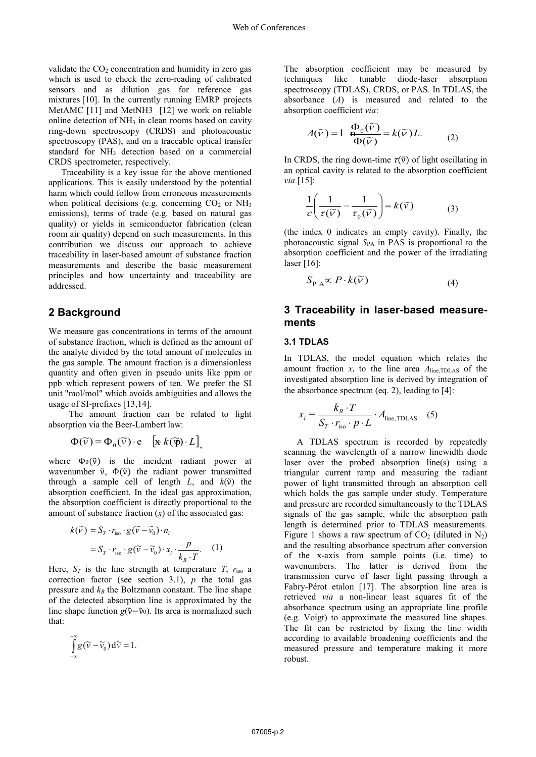validate the  $CO<sub>2</sub>$  concentration and humidity in zero gas which is used to check the zero-reading of calibrated sensors and as dilution gas for reference gas mixtures [10]. In the currently running EMRP projects MetAMC [11] and MetNH3 [12] we work on reliable online detection of NH3 in clean rooms based on cavity ring-down spectroscopy (CRDS) and photoacoustic spectroscopy (PAS), and on a traceable optical transfer standard for NH3 detection based on a commercial CRDS spectrometer, respectively.

Traceability is a key issue for the above mentioned applications. This is easily understood by the potential harm which could follow from erroneous measurements when political decisions (e.g. concerning  $CO<sub>2</sub>$  or NH<sub>3</sub> emissions), terms of trade (e.g. based on natural gas quality) or yields in semiconductor fabrication (clean room air quality) depend on such measurements. In this contribution we discuss our approach to achieve traceability in laser-based amount of substance fraction measurements and describe the basic measurement principles and how uncertainty and traceability are addressed.

#### **2 Background**

We measure gas concentrations in terms of the amount of substance fraction, which is defined as the amount of the analyte divided by the total amount of molecules in the gas sample. The amount fraction is a dimensionless quantity and often given in pseudo units like ppm or ppb which represent powers of ten. We prefer the SI unit "mol/mol" which avoids ambiguities and allows the usage of SI-prefixes [13,14].

The amount fraction can be related to light absorption via the Beer-Lambert law:

 $\Phi(\widetilde{v}) = \Phi_0(\widetilde{v}) \cdot e \quad [\mathbf{\mathbf{x}} \cdot k(\widetilde{\mathbf{p}}) \cdot L],$ 

where  $\Phi_0(\tilde{v})$  is the incident radiant power at wavenumber  $\tilde{v}$ ,  $\Phi(\tilde{v})$  the radiant power transmitted through a sample cell of length *L*, and  $k(\tilde{v})$  the absorption coefficient. In the ideal gas approximation, the absorption coefficient is directly proportional to the amount of substance fraction (*x*) of the associated gas:

$$
k(\widetilde{v}) = S_T \cdot r_{\text{iso}} \cdot g(\widetilde{v} - \widetilde{v}_0) \cdot n_i
$$
  
=  $S_T \cdot r_{\text{iso}} \cdot g(\widetilde{v} - \widetilde{v}_0) \cdot x_i \cdot \frac{p}{k_B \cdot T}$ . (1)

Here,  $S_T$  is the line strength at temperature *T*,  $r_{iso}$  a correction factor (see section 3.1), *p* the total gas pressure and  $k_B$  the Boltzmann constant. The line shape of the detected absorption line is approximated by the line shape function  $g(\tilde{v}-\tilde{v}_0)$ . Its area is normalized such that:

$$
\int_{-\infty}^{+\infty} g(\widetilde{v} - \widetilde{v}_0) d\widetilde{v} = 1.
$$

) <sup>~</sup> *<sup>k</sup>*( *<sup>T</sup> <sup>i</sup> <sup>S</sup> <sup>r</sup> <sup>g</sup> -*

The absorption coefficient may be measured by techniques like tunable diode-laser absorption spectroscopy (TDLAS), CRDS, or PAS. In TDLAS, the absorbance (*A*) is measured and related to the absorption coefficient *via*:

$$
A(\widetilde{V}) = 1 \frac{\Phi_0(\widetilde{V})}{\Phi(\widetilde{V})} = k(\widetilde{V})L. \tag{2}
$$

In CRDS, the ring down-time  $\tau(\tilde{v})$  of light oscillating in an optical cavity is related to the absorption coefficient *via* [15]:

$$
\frac{1}{c} \left( \frac{1}{\tau(\widetilde{v})} - \frac{1}{\tau_0(\widetilde{v})} \right) = k(\widetilde{v}) \tag{3}
$$

(the index 0 indicates an empty cavity). Finally, the photoacoustic signal  $S_{PA}$  in PAS is proportional to the absorption coefficient and the power of the irradiating laser [16]:

$$
S_{P \, A} \propto P \cdot k(\widetilde{\nu}) \tag{4}
$$

# **3 Traceability in laser-based measurements**

#### **3.1 TDLAS**

In TDLAS, the model equation which relates the amount fraction  $x_i$  to the line area  $A_{\text{line, TDLAS}}$  of the investigated absorption line is derived by integration of the absorbance spectrum (eq. 2), leading to [4]:

$$
x_i = \frac{k_B \cdot T}{S_T \cdot r_{\text{iso}} \cdot p \cdot L} \cdot A_{\text{line, TDLAS}} \quad (5)
$$

A TDLAS spectrum is recorded by repeatedly scanning the wavelength of a narrow linewidth diode laser over the probed absorption line(s) using a triangular current ramp and measuring the radiant power of light transmitted through an absorption cell which holds the gas sample under study. Temperature and pressure are recorded simultaneously to the TDLAS signals of the gas sample, while the absorption path length is determined prior to TDLAS measurements. Figure 1 shows a raw spectrum of  $CO<sub>2</sub>$  (diluted in N<sub>2</sub>) and the resulting absorbance spectrum after conversion of the x-axis from sample points (i.e. time) to wavenumbers. The latter is derived from the transmission curve of laser light passing through a Fabry-Pérot etalon [17]. The absorption line area is retrieved *via* a non-linear least squares fit of the absorbance spectrum using an appropriate line profile (e.g. Voigt) to approximate the measured line shapes. The fit can be restricted by fixing the line width according to available broadening coefficients and the measured pressure and temperature making it more robust.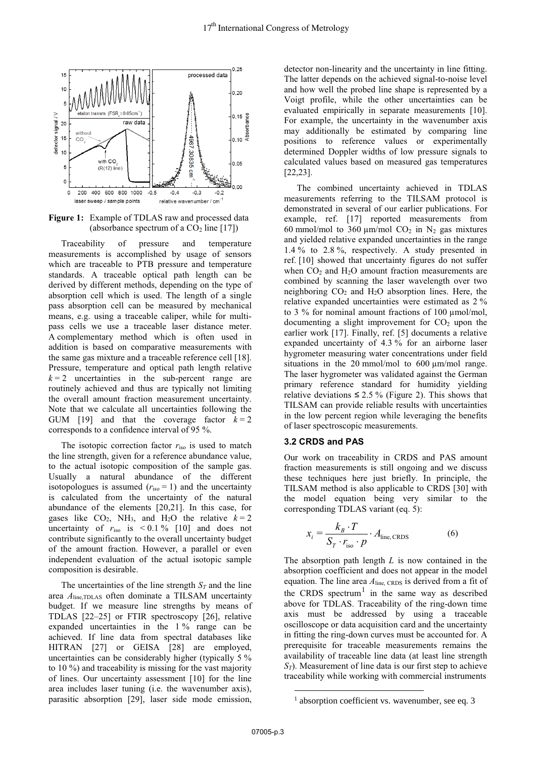

**Figure 1:** Example of TDLAS raw and processed data (absorbance spectrum of a  $CO<sub>2</sub>$  line [17])

Traceability of pressure and temperature measurements is accomplished by usage of sensors which are traceable to PTB pressure and temperature standards. A traceable optical path length can be derived by different methods, depending on the type of absorption cell which is used. The length of a single pass absorption cell can be measured by mechanical means, e.g. using a traceable caliper, while for multipass cells we use a traceable laser distance meter. A complementary method which is often used in addition is based on comparative measurements with the same gas mixture and a traceable reference cell [18]. Pressure, temperature and optical path length relative  $k = 2$  uncertainties in the sub-percent range are routinely achieved and thus are typically not limiting the overall amount fraction measurement uncertainty. Note that we calculate all uncertainties following the GUM [19] and that the coverage factor  $k = 2$ corresponds to a confidence interval of 95 %.

The isotopic correction factor *r*iso is used to match the line strength, given for a reference abundance value, to the actual isotopic composition of the sample gas. Usually a natural abundance of the different isotopologues is assumed  $(r_{\text{iso}} = 1)$  and the uncertainty is calculated from the uncertainty of the natural abundance of the elements [20,21]. In this case, for gases like  $CO<sub>2</sub>$ , NH<sub>3</sub>, and H<sub>2</sub>O the relative  $k = 2$ uncertainty of  $r_{\text{iso}}$  is  $\leq 0.1\%$  [10] and does not contribute significantly to the overall uncertainty budget of the amount fraction. However, a parallel or even independent evaluation of the actual isotopic sample composition is desirable.

The uncertainties of the line strength  $S_T$  and the line area *A*line,TDLAS often dominate a TILSAM uncertainty budget. If we measure line strengths by means of TDLAS [22–25] or FTIR spectroscopy [26], relative expanded uncertainties in the 1 % range can be achieved. If line data from spectral databases like HITRAN [27] or GEISA [28] are employed, uncertainties can be considerably higher (typically 5 % to 10 %) and traceability is missing for the vast majority of lines. Our uncertainty assessment [10] for the line area includes laser tuning (i.e. the wavenumber axis), parasitic absorption [29], laser side mode emission,

detector non-linearity and the uncertainty in line fitting. The latter depends on the achieved signal-to-noise level and how well the probed line shape is represented by a Voigt profile, while the other uncertainties can be evaluated empirically in separate measurements [10]. For example, the uncertainty in the wavenumber axis may additionally be estimated by comparing line positions to reference values or experimentally determined Doppler widths of low pressure signals to calculated values based on measured gas temperatures [22,23].

The combined uncertainty achieved in TDLAS measurements referring to the TILSAM protocol is demonstrated in several of our earlier publications. For example, ref. [17] reported measurements from 60 mmol/mol to 360  $\mu$ m/mol CO<sub>2</sub> in N<sub>2</sub> gas mixtures and yielded relative expanded uncertainties in the range 1.4 % to 2.8 %, respectively. A study presented in ref. [10] showed that uncertainty figures do not suffer when  $CO<sub>2</sub>$  and  $H<sub>2</sub>O$  amount fraction measurements are combined by scanning the laser wavelength over two neighboring  $CO<sub>2</sub>$  and  $H<sub>2</sub>O$  absorption lines. Here, the relative expanded uncertainties were estimated as 2 % to 3 % for nominal amount fractions of 100 μmol/mol, documenting a slight improvement for  $CO<sub>2</sub>$  upon the earlier work [17]. Finally, ref. [5] documents a relative expanded uncertainty of 4.3 % for an airborne laser hygrometer measuring water concentrations under field situations in the 20 mmol/mol to 600 μm/mol range. The laser hygrometer was validated against the German primary reference standard for humidity yielding relative deviations  $\leq 2.5$  % (Figure 2). This shows that TILSAM can provide reliable results with uncertainties in the low percent region while leveraging the benefits of laser spectroscopic measurements.

#### **3.2 CRDS and PAS**

Our work on traceability in CRDS and PAS amount fraction measurements is still ongoing and we discuss these techniques here just briefly. In principle, the TILSAM method is also applicable to CRDS [30] with the model equation being very similar to the corresponding TDLAS variant (eq. 5):

$$
x_i = \frac{k_B \cdot T}{S_T \cdot r_{\text{iso}} \cdot p} \cdot A_{\text{line, CRDS}}
$$
 (6)

The absorption path length *L* is now contained in the absorption coefficient and does not appear in the model equation. The line area *A*line, CRDS is derived from a fit of the CRDS spectrum<sup>1</sup> in the same way as described above for TDLAS. Traceability of the ring-down time axis must be addressed by using a traceable oscilloscope or data acquisition card and the uncertainty in fitting the ring-down curves must be accounted for. A prerequisite for traceable measurements remains the availability of traceable line data (at least line strength *ST*). Measurement of line data is our first step to achieve traceability while working with commercial instruments

<u>.</u>

 $<sup>1</sup>$  absorption coefficient vs. wavenumber, see eq. 3</sup>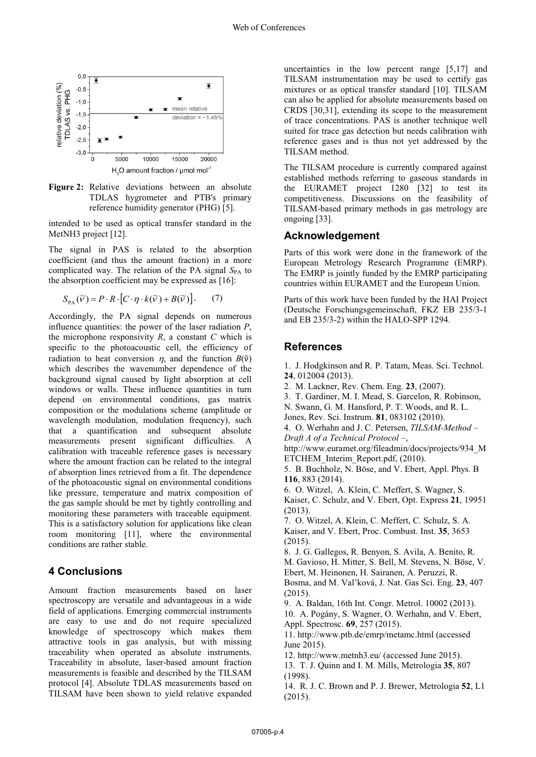

**Figure 2:** Relative deviations between an absolute TDLAS hygrometer and PTB's primary reference humidity generator (PHG) [5].

intended to be used as optical transfer standard in the MetNH3 project [12].

The signal in PAS is related to the absorption coefficient (and thus the amount fraction) in a more complicated way. The relation of the PA signal  $S_{PA}$  to the absorption coefficient may be expressed as [16]:

$$
S_{\text{PA}}(\widetilde{V}) = P \cdot R \cdot [C \cdot \eta \cdot k(\widetilde{V}) + B(\widetilde{V})]. \tag{7}
$$

Accordingly, the PA signal depends on numerous influence quantities: the power of the laser radiation *P*, the microphone responsivity  $R$ , a constant  $C$  which is specific to the photoacoustic cell, the efficiency of radiation to heat conversion  $\eta$ , and the function  $B(\tilde{v})$ which describes the wavenumber dependence of the background signal caused by light absorption at cell windows or walls. These influence quantities in turn depend on environmental conditions, gas matrix composition or the modulations scheme (amplitude or wavelength modulation, modulation frequency), such that a quantification and subsequent absolute measurements present significant difficulties. A calibration with traceable reference gases is necessary where the amount fraction can be related to the integral of absorption lines retrieved from a fit. The dependence of the photoacoustic signal on environmental conditions like pressure, temperature and matrix composition of the gas sample should be met by tightly controlling and monitoring these parameters with traceable equipment. This is a satisfactory solution for applications like clean room monitoring [11], where the environmental conditions are rather stable.

# **4 Conclusions**

Amount fraction measurements based on laser spectroscopy are versatile and advantageous in a wide field of applications. Emerging commercial instruments are easy to use and do not require specialized knowledge of spectroscopy which makes them attractive tools in gas analysis, but with missing traceability when operated as absolute instruments. Traceability in absolute, laser-based amount fraction measurements is feasible and described by the TILSAM protocol [4]. Absolute TDLAS measurements based on TILSAM have been shown to yield relative expanded uncertainties in the low percent range [5,17] and TILSAM instrumentation may be used to certify gas mixtures or as optical transfer standard [10]. TILSAM can also be applied for absolute measurements based on CRDS [30,31], extending its scope to the measurement of trace concentrations. PAS is another technique well suited for trace gas detection but needs calibration with reference gases and is thus not yet addressed by the TILSAM method.

The TILSAM procedure is currently compared against established methods referring to gaseous standards in the EURAMET project 1280 [32] to test its competitiveness. Discussions on the feasibility of TILSAM-based primary methods in gas metrology are ongoing [33].

### **Acknowledgement**

Parts of this work were done in the framework of the European Metrology Research Programme (EMRP). The EMRP is jointly funded by the EMRP participating countries within EURAMET and the European Union.

Parts of this work have been funded by the HAI Project (Deutsche Forschungsgemeinschaft, FKZ EB 235/3-1 and EB 235/3-2) within the HALO-SPP 1294.

# **References**

1. J. Hodgkinson and R. P. Tatam, Meas. Sci. Technol. **24**, 012004 (2013).

- 2. M. Lackner, Rev. Chem. Eng. **23**, (2007).
- 3. T. Gardiner, M. I. Mead, S. Garcelon, R. Robinson,
- N. Swann, G. M. Hansford, P. T. Woods, and R. L.
- Jones, Rev. Sci. Instrum. **81**, 083102 (2010).

4. O. Werhahn and J. C. Petersen, *TILSAM-Method – Draft A of a Technical Protocol –*,

http://www.euramet.org/fileadmin/docs/projects/934\_M ETCHEM\_Interim\_Report.pdf, (2010).

- 5. B. Buchholz, N. Böse, and V. Ebert, Appl. Phys. B **116**, 883 (2014).
- 6. O. Witzel, A. Klein, C. Meffert, S. Wagner, S. Kaiser, C. Schulz, and V. Ebert, Opt. Express **21**, 19951 (2013).

7. O. Witzel, A. Klein, C. Meffert, C. Schulz, S. A. Kaiser, and V. Ebert, Proc. Combust. Inst. **35**, 3653 (2015).

8. J. G. Gallegos, R. Benyon, S. Avila, A. Benito, R. M. Gavioso, H. Mitter, S. Bell, M. Stevens, N. Böse, V. Ebert, M. Heinonen, H. Sairanen, A. Peruzzi, R. Bosma, and M. Val'ková, J. Nat. Gas Sci. Eng. **23**, 407 (2015).

9. A. Baldan, 16th Int. Congr. Metrol. 10002 (2013).

10. A. Pogány, S. Wagner, O. Werhahn, and V. Ebert, Appl. Spectrosc. **69**, 257 (2015).

11. http://www.ptb.de/emrp/metamc.html (accessed June 2015).

12. http://www.metnh3.eu/ (accessed June 2015).

13. T. J. Quinn and I. M. Mills, Metrologia **35**, 807 (1998).

14. R. J. C. Brown and P. J. Brewer, Metrologia **52**, L1 (2015).